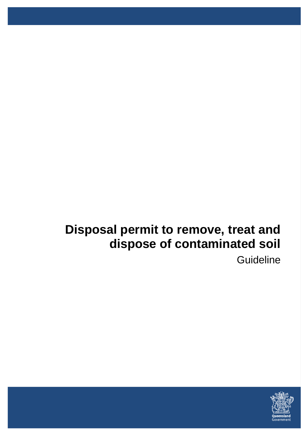# **Disposal permit to remove, treat and dispose of contaminated soil**

**Guideline** 

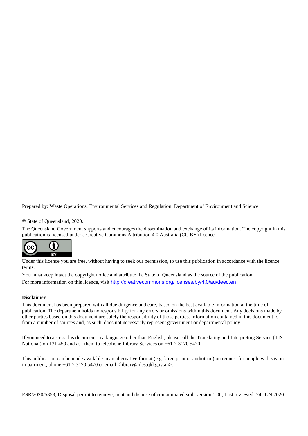Prepared by: Waste Operations, Environmental Services and Regulation, Department of Environment and Science

© State of Queensland, 2020.

The Queensland Government supports and encourages the dissemination and exchange of its information. The copyright in this publication is licensed under a Creative Commons Attribution 4.0 Australia (CC BY) licence.



Under this licence you are free, without having to seek our permission, to use this publication in accordance with the licence terms.

You must keep intact the copyright notice and attribute the State of Queensland as the source of the publication. For more information on this licence, visit <http://creativecommons.org/licenses/by/4.0/au/deed.en>

#### **Disclaimer**

This document has been prepared with all due diligence and care, based on the best available information at the time of publication. The department holds no responsibility for any errors or omissions within this document. Any decisions made by other parties based on this document are solely the responsibility of those parties. Information contained in this document is from a number of sources and, as such, does not necessarily represent government or departmental policy.

If you need to access this document in a language other than English, please call the Translating and Interpreting Service (TIS National) on 131 450 and ask them to telephone Library Services on +61 7 3170 5470.

This publication can be made available in an alternative format (e.g. large print or audiotape) on request for people with vision impairment; phone +61 7 3170 5470 or email <library@des.qld.gov.au>.

ESR/2020/5353, Disposal permit to remove, treat and dispose of contaminated soil, version 1.00, Last reviewed: 24 JUN 2020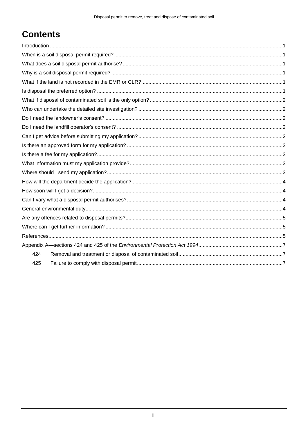# **Contents**

| 424 |  |
|-----|--|
| 425 |  |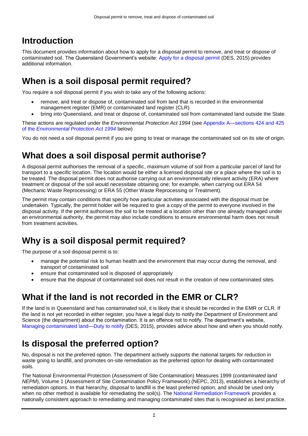# **Introduction**

This document provides information about how to apply for a disposal permit to remove, and treat or dispose of contaminated soil. The Queensland Government's website: [Apply for a disposal permit](https://www.qld.gov.au/environment/pollution/management/contaminated-land/permits/disposal-permit) (DES, 2015) provides additional information.

# **When is a soil disposal permit required?**

You require a soil disposal permit if you wish to take any of the following actions:

- remove, and treat or dispose of, contaminated soil from land that is recorded in the environmental management register (EMR) or contaminated land register (CLR)
- bring into Queensland, and treat or dispose of, contaminated soil from contaminated land outside the State.

These actions are regulated under the *Environmental Protection Act 1994* (see [Appendix A—sections 424 and 425](#page-9-0)  of the *[Environmental Protection](#page-9-0) Act 1994* below)

You do not need a soil disposal permit if you are going to treat or manage the contaminated soil on its site of origin.

# **What does a soil disposal permit authorise?**

A disposal permit authorises the removal of a specific, maximum volume of soil from a particular parcel of land for transport to a specific location. The location would be either a licensed disposal site or a place where the soil is to be treated. The disposal permit does not authorise carrying out an environmentally relevant activity (ERA) where treatment or disposal of the soil would necessitate obtaining one; for example, when carrying out ERA 54 (Mechanic Waste Reprocessing) or ERA 55 (Other Waste Reprocessing or Treatment).

The permit may contain conditions that specify how particular activities associated with the disposal must be undertaken. Typically, the permit holder will be required to give a copy of the permit to everyone involved in the disposal activity. If the permit authorises the soil to be treated at a location other than one already managed under an environmental authority, the permit may also include conditions to ensure environmental harm does not result from treatment activities.

#### **Why is a soil disposal permit required?**

The purpose of a soil disposal permit is to:

- manage the potential risk to human health and the environment that may occur during the removal, and transport of contaminated soil
- ensure that contaminated soil is disposed of appropriately
- ensure that the disposal of contaminated soil does not result in the creation of new contaminated sites.

# **What if the land is not recorded in the EMR or CLR?**

If the land is in Queensland and has contaminated soil, it is likely that it should be recorded in the EMR or CLR. If the land is not yet recorded in either register, you have a legal duty to notify the Department of Environment and Science (the department) about the contamination. It is an offence not to notify. The department's website, [Managing contaminated land—Duty to notify](https://www.qld.gov.au/environment/pollution/management/contaminated-land/assessing/notifications) (DES, 2015), provides advice about how and when you should notify.

# **Is disposal the preferred option?**

No, disposal is not the preferred option. The department actively supports the national targets for reduction in waste going to landfill, and promotes on-site remediation as the preferred option for dealing with contaminated soils.

The National Environmental Protection (Assessment of Site Contamination) Measures 1999 (*contaminated land NEPM*), Volume 1 (Assessment of Site Contamination Policy Framework) (NEPC, 2013), establishes a hierarchy of remediation options. In that hierarchy, disposal to landfill is the least preferred option, and should be used only when no other method is available for remediating the soil(s). The [National Remediation Framework](https://www.remediationframework.com.au/) provides a nationally consistent approach to remediating and managing contaminated sites that is recognised as best practice.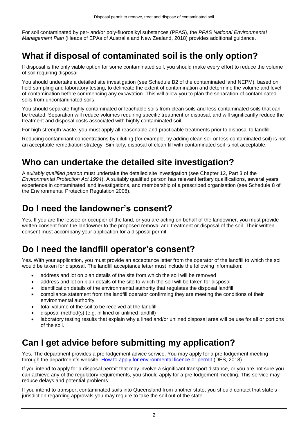For soil contaminated by per- and/or poly-fluoroalkyl substances (PFAS), the *PFAS National Environmental Management Plan* (Heads of EPAs of Australia and New Zealand, 2018) provides additional guidance.

### **What if disposal of contaminated soil is the only option?**

If disposal is the only viable option for some contaminated soil, you should make every effort to reduce the volume of soil requiring disposal.

You should undertake a detailed site investigation (see Schedule B2 of the contaminated land NEPM), based on field sampling and laboratory testing, to delineate the extent of contamination and determine the volume and level of contamination before commencing any excavation. This will allow you to plan the separation of contaminated soils from uncontaminated soils.

You should separate highly contaminated or leachable soils from clean soils and less contaminated soils that can be treated. Separation will reduce volumes requiring specific treatment or disposal, and will significantly reduce the treatment and disposal costs associated with highly contaminated soil.

For high strength waste, you must apply all reasonable and practicable treatments prior to disposal to landfill.

Reducing contaminant concentrations by diluting (for example, by adding clean soil or less contaminated soil) is not an acceptable remediation strategy. Similarly, disposal of clean fill with contaminated soil is not acceptable.

#### **Who can undertake the detailed site investigation?**

A *suitably qualified person* must undertake the detailed site investigation (see Chapter 12, Part 3 of the *Environmental Protection Act 1994*). A suitably qualified person has relevant tertiary qualifications, several years' experience in contaminated land investigations, and membership of a prescribed organisation (see Schedule 8 of the Environmental Protection Regulation 2008).

# **Do I need the landowner's consent?**

Yes. If you are the lessee or occupier of the land, or you are acting on behalf of the landowner, you must provide written consent from the landowner to the proposed removal and treatment or disposal of the soil. Their written consent must accompany your application for a disposal permit.

#### **Do I need the landfill operator's consent?**

Yes. With your application, you must provide an acceptance letter from the operator of the landfill to which the soil would be taken for disposal. The landfill acceptance letter must include the following information:

- address and lot on plan details of the site from which the soil will be removed
- address and lot on plan details of the site to which the soil will be taken for disposal
- identification details of the environmental authority that regulates the disposal landfill
- compliance statement from the landfill operator confirming they are meeting the conditions of their environmental authority
- total volume of the soil to be received at the landfill
- disposal method(s) (e.g. in lined or unlined landfill)
- laboratory testing results that explain why a lined and/or unlined disposal area will be use for all or portions of the soil.

# **Can I get advice before submitting my application?**

Yes. The department provides a pre-lodgement advice service. You may apply for a pre-lodgement meeting through the department's website: [How to apply for environmental licence or permit](https://environment.des.qld.gov.au/licences-permits/how-to-apply/) (DES, 2018).

If you intend to apply for a disposal permit that may involve a significant transport distance, or you are not sure you can achieve any of the regulatory requirements, you should apply for a pre-lodgement meeting. This service may reduce delays and potential problems.

If you intend to transport contaminated soils into Queensland from another state, you should contact that state's jurisdiction regarding approvals you may require to take the soil out of the state.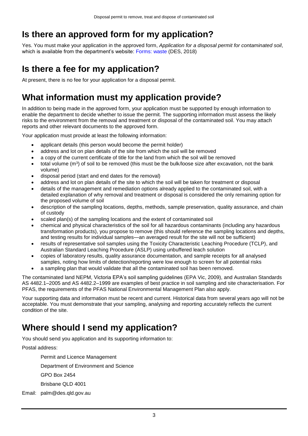# **Is there an approved form for my application?**

Yes. You must make your application in the approved form, *Application for a disposal permit for contaminated soil*, which is available from the department's website: [Forms: waste](https://environment.des.qld.gov.au/forms/waste.html) (DES, 2018)

# **Is there a fee for my application?**

At present, there is no fee for your application for a disposal permit.

# **What information must my application provide?**

In addition to being made in the approved form, your application must be supported by enough information to enable the department to decide whether to issue the permit. The supporting information must assess the likely risks to the environment from the removal and treatment or disposal of the contaminated soil. You may attach reports and other relevant documents to the approved form.

Your application must provide at least the following information:

- applicant details (this person would become the permit holder)
- address and lot on plan details of the site from which the soil will be removed
- a copy of the current certificate of title for the land from which the soil will be removed
- total volume ( $m<sup>3</sup>$ ) of soil to be removed (this must be the bulk/loose size after excavation, not the bank volume)
- disposal period (start and end dates for the removal)
- address and lot on plan details of the site to which the soil will be taken for treatment or disposal
- details of the management and remediation options already applied to the contaminated soil, with a detailed explanation of why removal and treatment or disposal is considered the only remaining option for the proposed volume of soil
- description of the sampling locations, depths, methods, sample preservation, quality assurance, and chain of custody
- scaled plan(s) of the sampling locations and the extent of contaminated soil
- chemical and physical characteristics of the soil for all hazardous contaminants (including any hazardous transformation products), you propose to remove (this should reference the sampling locations and depths, and testing results for individual samples—an averaged result for the site will not be sufficient)
- results of representative soil samples using the Toxicity Characteristic Leaching Procedure (TCLP), and Australian Standard Leaching Procedure (ASLP) using unbuffered leach solution
- copies of laboratory results, quality assurance documentation, and sample receipts for all analysed samples, noting how limits of detection/reporting were low enough to screen for all potential risks
- a sampling plan that would validate that all the contaminated soil has been removed.

The contaminated land NEPM, Victoria EPA's soil sampling guidelines (EPA Vic, 2009), and Australian Standards AS 4482.1–2005 and AS 4482.2–1999 are examples of best practice in soil sampling and site characterisation. For PFAS, the requirements of the PFAS National Environmental Management Plan also apply.

Your supporting data and information must be recent and current. Historical data from several years ago will not be acceptable. You must demonstrate that your sampling, analysing and reporting accurately reflects the current condition of the site.

# **Where should I send my application?**

You should send you application and its supporting information to:

Postal address:

Permit and Licence Management

Department of Environment and Science

GPO Box 2454

Brisbane QLD 4001

Email: palm@des.qld.gov.au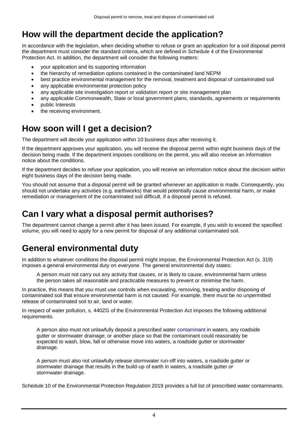# **How will the department decide the application?**

In accordance with the legislation, when deciding whether to refuse or grant an application for a soil disposal permit the department must consider the standard criteria, which are defined in Schedule 4 of the Environmental Protection Act. In addition, the department will consider the following matters:

- your application and its supporting information
- the hierarchy of remediation options contained in the contaminated land NEPM
- best practice environmental management for the removal, treatment and disposal of contaminated soil
- any applicable environmental protection policy
- any applicable site investigation report or validation report or site management plan
- any applicable Commonwealth, State or local government plans, standards, agreements or requirements
- public Interests
- the receiving environment.

### **How soon will I get a decision?**

The department will decide your application within 10 business days after receiving it.

If the department approves your application, you will receive the disposal permit within eight business days of the decision being made. If the department imposes conditions on the permit, you will also receive an information notice about the conditions.

If the department decides to refuse your application, you will receive an information notice about the decision within eight business days of the decision being made.

You should not assume that a disposal permit will be granted whenever an application is made. Consequently, you should not undertake any activities (e.g. earthworks) that would potentially cause environmental harm, or make remediation or management of the contaminated soil difficult, if a disposal permit is refused.

### **Can I vary what a disposal permit authorises?**

The department cannot change a permit after it has been issued. For example, if you wish to exceed the specified volume, you will need to apply for a new permit for disposal of any additional contaminated soil.

#### **General environmental duty**

In addition to whatever conditions the disposal permit might impose, the Environmental Protection Act (s. 319) imposes a general environmental duty on everyone. The general environmental duty states:

A person must not carry out any activity that causes, or is likely to cause, environmental harm unless the person takes all reasonable and practicable measures to prevent or minimise the harm.

In practice, this means that you must use controls when excavating, removing, treating and/or disposing of contaminated soil that ensure environmental harm is not caused. For example, there must be no unpermitted release of contaminated soil to air, land or water.

In respect of water pollution, s. 440ZG of the Environmental Protection Act imposes the following additional requirements.

A person also must not unlawfully deposit a prescribed water [contaminant](http://www5.austlii.edu.au/au/legis/qld/consol_act/epa1994295/s11.html#contaminant) in waters, any roadside gutter or stormwater drainage; or another place so that the contaminant could reasonably be expected to wash, blow, fall or otherwise move into waters, a roadside gutter or stormwater drainage.

A person must also not unlawfully release stormwater run-off into waters, a roadside gutter or stormwater drainage that results in the build-up of earth in waters, a roadside gutter or stormwater drainage.

Schedule 10 of the Environmental Protection Regulation 2019 provides a full list of prescribed water contaminants.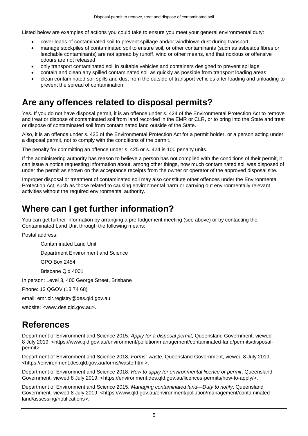Listed below are examples of actions you could take to ensure you meet your general environmental duty:

- cover loads of contaminated soil to prevent spillage and/or windblown dust during transport
- manage stockpiles of contaminated soil to ensure soil, or other contaminants (such as asbestos fibres or leachable contaminants) are not spread by runoff, wind or other means, and that noxious or offensive odours are not released
- only transport contaminated soil in suitable vehicles and containers designed to prevent spillage
- contain and clean any spilled contaminated soil as quickly as possible from transport loading areas
- clean contaminated soil spills and dust from the outside of transport vehicles after loading and unloading to prevent the spread of contamination.

#### **Are any offences related to disposal permits?**

Yes. If you do not have disposal permit, it is an offence under s. 424 of the Environmental Protection Act to remove and treat or dispose of contaminated soil from land recorded in the EMR or CLR, or to bring into the State and treat or dispose of contaminated soil from contaminated land outside of the State.

Also, it is an offence under s. 425 of the Environmental Protection Act for a permit holder, or a person acting under a disposal permit, not to comply with the conditions of the permit.

The penalty for committing an offence under s. 425 or s. 424 is 100 penalty units.

If the administering authority has reason to believe a person has not complied with the conditions of their permit, it can issue a notice requesting information about, among other things, how much contaminated soil was disposed of under the permit as shown on the acceptance receipts from the owner or operator of the approved disposal site.

Improper disposal or treatment of contaminated soil may also constitute other offences under the Environmental Protection Act, such as those related to causing environmental harm or carrying out environmentally relevant activities without the required environmental authority.

#### **Where can I get further information?**

You can get further information by arranging a pre-lodgement meeting (see above) or by contacting the Contaminated Land Unit through the following means:

Postal address:

Contaminated Land Unit

Department Environment and Science

GPO Box 2454

Brisbane Qld 4001

In person: Level 3, 400 George Street, Brisbane

Phone: 13 QGOV (13 74 68)

email: emr.clr.registry@des.qld.gov.au

website: <www.des.qld.gov.au>.

#### **References**

Department of Environment and Science 2015, *Apply for a disposal permit*, Queensland Government, viewed 8 July 2019, <https://www.qld.gov.au/environment/pollution/management/contaminated-land/permits/disposalpermit>.

Department of Environment and Science 2018, *Forms: waste*, Queensland Government, viewed 8 July 2019, <https://environment.des.qld.gov.au/forms/waste.html>.

Department of Environment and Science 2018, *How to apply for environmental licence or permit*, Queensland Government, viewed 8 July 2019, <https://environment.des.qld.gov.au/licences-permits/how-to-apply/>.

Department of Environment and Science 2015, *Managing contaminated land—Duty to notify*, Queensland Government, viewed 8 July 2019, <https://www.qld.gov.au/environment/pollution/management/contaminatedland/assessing/notifications>.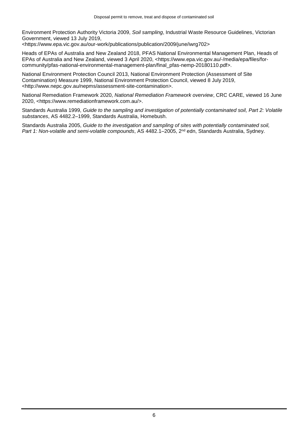Environment Protection Authority Victoria 2009, *Soil sampling*, Industrial Waste Resource Guidelines, Victorian Government, viewed 13 July 2019,

[<https://www.epa.vic.gov.au/our-work/publications/publication/2009/june/iwrg702>](https://www.epa.vic.gov.au/our-work/publications/publication/2009/june/iwrg702)

Heads of EPAs of Australia and New Zealand 2018, PFAS National Environmental Management Plan, Heads of EPAs of Australia and New Zealand, viewed 3 April 2020, <https://www.epa.vic.gov.au/-/media/epa/files/forcommunity/pfas-national-environmental-management-plan/final\_pfas-nemp-20180110.pdf>.

National Environment Protection Council 2013, National Environment Protection (Assessment of Site Contamination) Measure 1999, National Environment Protection Council, viewed 8 July 2019, <http://www.nepc.gov.au/nepms/assessment-site-contamination>.

National Remediation Framework 2020, *National Remediation Framework overview*, CRC CARE, viewed 16 June 2020, <https://www.remediationframework.com.au/>.

Standards Australia 1999, *Guide to the sampling and investigation of potentially contaminated soil, Part 2: Volatile substances*, AS 4482.2–1999, Standards Australia, Homebush.

Standards Australia 2005, *Guide to the investigation and sampling of sites with potentially contaminated soil,*  Part 1: Non-volatile and semi-volatile compounds, AS 4482.1–2005, 2<sup>nd</sup> edn, Standards Australia, Sydney.